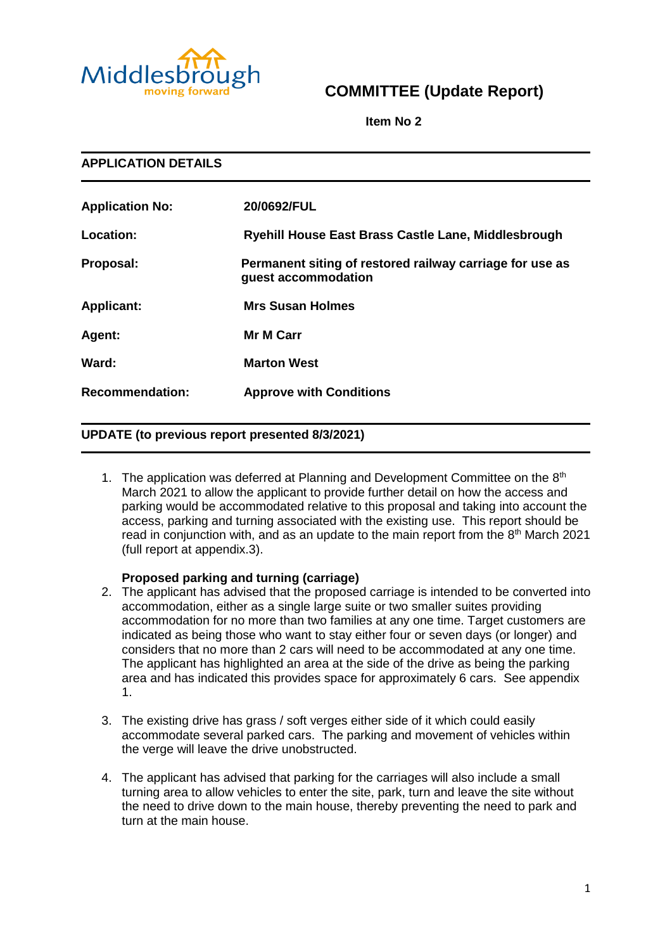

# **COMMITTEE (Update Report)**

**Item No 2**

| <b>APPLICATION DETAILS</b> |                                                                                 |
|----------------------------|---------------------------------------------------------------------------------|
| <b>Application No:</b>     | 20/0692/FUL                                                                     |
| Location:                  | <b>Ryehill House East Brass Castle Lane, Middlesbrough</b>                      |
| Proposal:                  | Permanent siting of restored railway carriage for use as<br>guest accommodation |
| <b>Applicant:</b>          | <b>Mrs Susan Holmes</b>                                                         |
| Agent:                     | <b>Mr M Carr</b>                                                                |
| Ward:                      | <b>Marton West</b>                                                              |
| <b>Recommendation:</b>     | <b>Approve with Conditions</b>                                                  |

# **UPDATE (to previous report presented 8/3/2021)**

1. The application was deferred at Planning and Development Committee on the  $8<sup>th</sup>$ March 2021 to allow the applicant to provide further detail on how the access and parking would be accommodated relative to this proposal and taking into account the access, parking and turning associated with the existing use. This report should be read in conjunction with, and as an update to the main report from the  $8<sup>th</sup>$  March 2021 (full report at appendix.3).

### **Proposed parking and turning (carriage)**

- 2. The applicant has advised that the proposed carriage is intended to be converted into accommodation, either as a single large suite or two smaller suites providing accommodation for no more than two families at any one time. Target customers are indicated as being those who want to stay either four or seven days (or longer) and considers that no more than 2 cars will need to be accommodated at any one time. The applicant has highlighted an area at the side of the drive as being the parking area and has indicated this provides space for approximately 6 cars. See appendix 1.
- 3. The existing drive has grass / soft verges either side of it which could easily accommodate several parked cars. The parking and movement of vehicles within the verge will leave the drive unobstructed.
- 4. The applicant has advised that parking for the carriages will also include a small turning area to allow vehicles to enter the site, park, turn and leave the site without the need to drive down to the main house, thereby preventing the need to park and turn at the main house.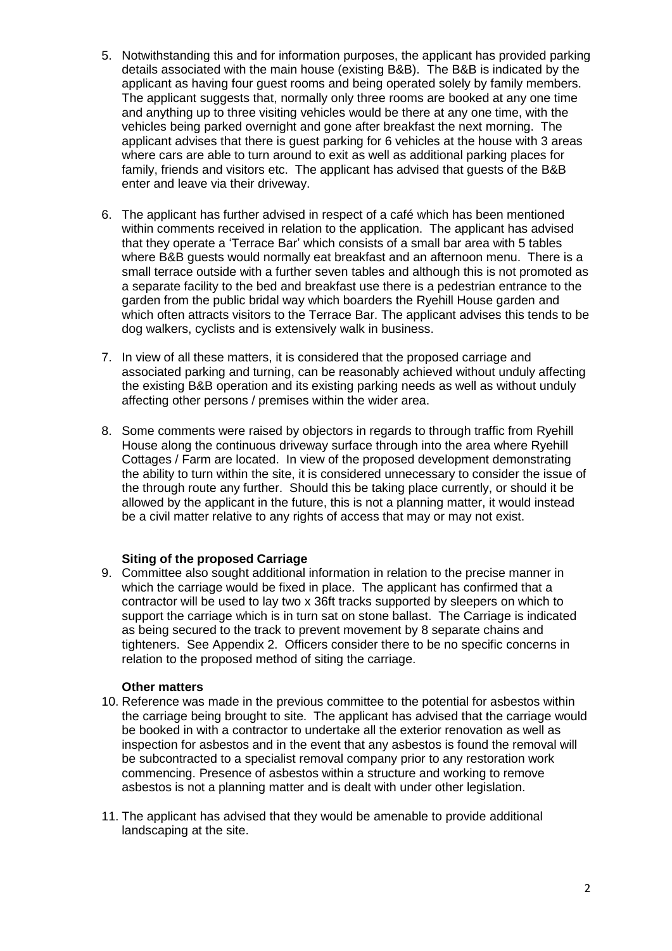- 5. Notwithstanding this and for information purposes, the applicant has provided parking details associated with the main house (existing B&B). The B&B is indicated by the applicant as having four guest rooms and being operated solely by family members. The applicant suggests that, normally only three rooms are booked at any one time and anything up to three visiting vehicles would be there at any one time, with the vehicles being parked overnight and gone after breakfast the next morning. The applicant advises that there is guest parking for 6 vehicles at the house with 3 areas where cars are able to turn around to exit as well as additional parking places for family, friends and visitors etc. The applicant has advised that guests of the B&B enter and leave via their driveway.
- 6. The applicant has further advised in respect of a café which has been mentioned within comments received in relation to the application. The applicant has advised that they operate a 'Terrace Bar' which consists of a small bar area with 5 tables where B&B guests would normally eat breakfast and an afternoon menu. There is a small terrace outside with a further seven tables and although this is not promoted as a separate facility to the bed and breakfast use there is a pedestrian entrance to the garden from the public bridal way which boarders the Ryehill House garden and which often attracts visitors to the Terrace Bar. The applicant advises this tends to be dog walkers, cyclists and is extensively walk in business.
- 7. In view of all these matters, it is considered that the proposed carriage and associated parking and turning, can be reasonably achieved without unduly affecting the existing B&B operation and its existing parking needs as well as without unduly affecting other persons / premises within the wider area.
- 8. Some comments were raised by objectors in regards to through traffic from Ryehill House along the continuous driveway surface through into the area where Ryehill Cottages / Farm are located. In view of the proposed development demonstrating the ability to turn within the site, it is considered unnecessary to consider the issue of the through route any further. Should this be taking place currently, or should it be allowed by the applicant in the future, this is not a planning matter, it would instead be a civil matter relative to any rights of access that may or may not exist.

### **Siting of the proposed Carriage**

9. Committee also sought additional information in relation to the precise manner in which the carriage would be fixed in place. The applicant has confirmed that a contractor will be used to lay two x 36ft tracks supported by sleepers on which to support the carriage which is in turn sat on stone ballast. The Carriage is indicated as being secured to the track to prevent movement by 8 separate chains and tighteners. See Appendix 2. Officers consider there to be no specific concerns in relation to the proposed method of siting the carriage.

#### **Other matters**

- 10. Reference was made in the previous committee to the potential for asbestos within the carriage being brought to site. The applicant has advised that the carriage would be booked in with a contractor to undertake all the exterior renovation as well as inspection for asbestos and in the event that any asbestos is found the removal will be subcontracted to a specialist removal company prior to any restoration work commencing. Presence of asbestos within a structure and working to remove asbestos is not a planning matter and is dealt with under other legislation.
- 11. The applicant has advised that they would be amenable to provide additional landscaping at the site.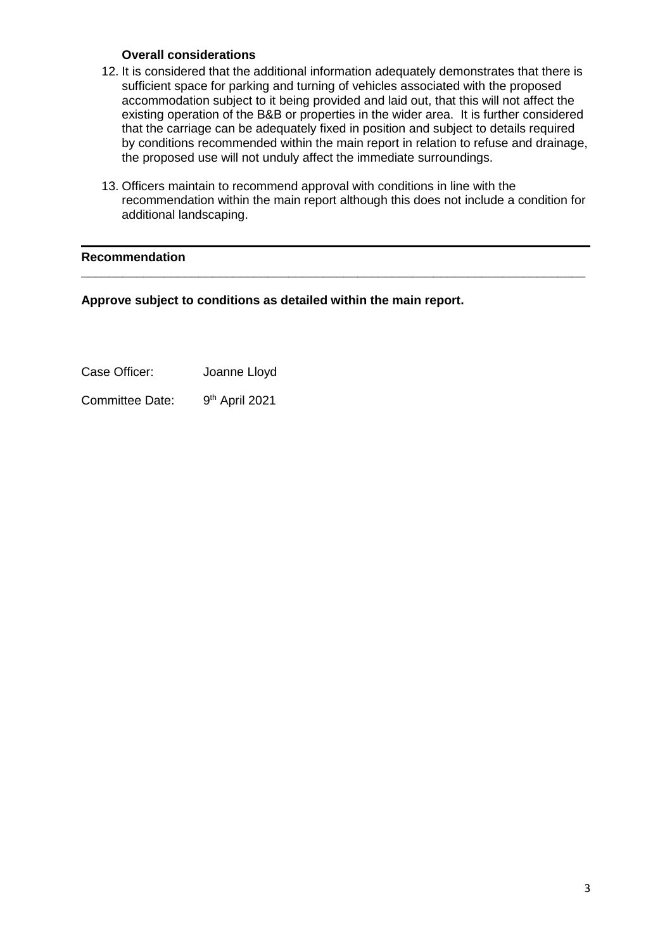### **Overall considerations**

- 12. It is considered that the additional information adequately demonstrates that there is sufficient space for parking and turning of vehicles associated with the proposed accommodation subject to it being provided and laid out, that this will not affect the existing operation of the B&B or properties in the wider area. It is further considered that the carriage can be adequately fixed in position and subject to details required by conditions recommended within the main report in relation to refuse and drainage, the proposed use will not unduly affect the immediate surroundings.
- 13. Officers maintain to recommend approval with conditions in line with the recommendation within the main report although this does not include a condition for additional landscaping.

**\_\_\_\_\_\_\_\_\_\_\_\_\_\_\_\_\_\_\_\_\_\_\_\_\_\_\_\_\_\_\_\_\_\_\_\_\_\_\_\_\_\_\_\_\_\_\_\_\_\_\_\_\_\_\_\_\_\_\_\_\_\_\_\_\_\_\_\_\_\_\_\_\_**

### **Recommendation**

**Approve subject to conditions as detailed within the main report.** 

Case Officer: Joanne Lloyd

Committee Date: 9<sup>th</sup> April 2021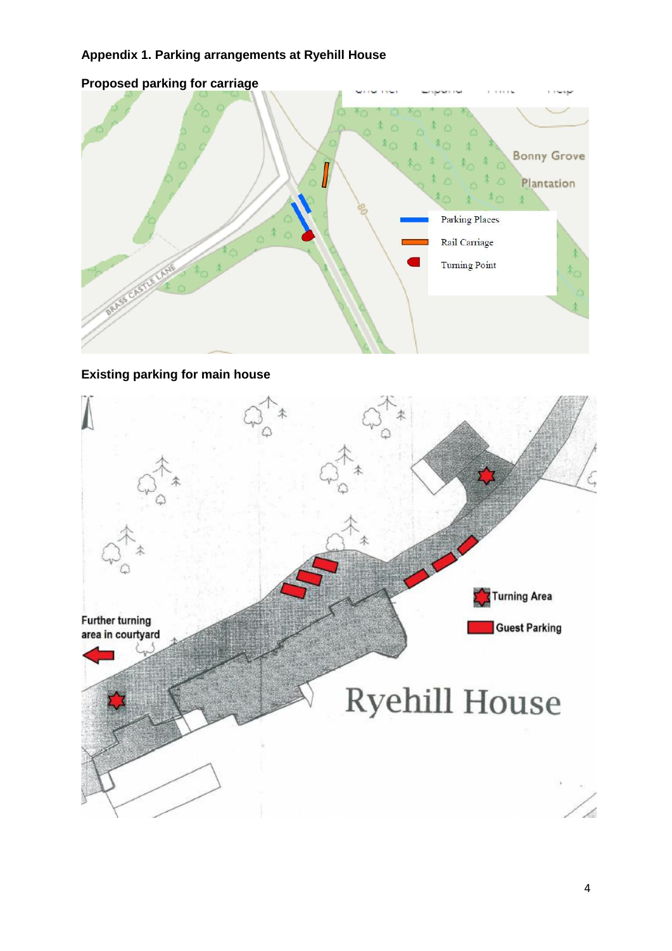# **Appendix 1. Parking arrangements at Ryehill House**



**Proposed parking for carriage**

# **Existing parking for main house**

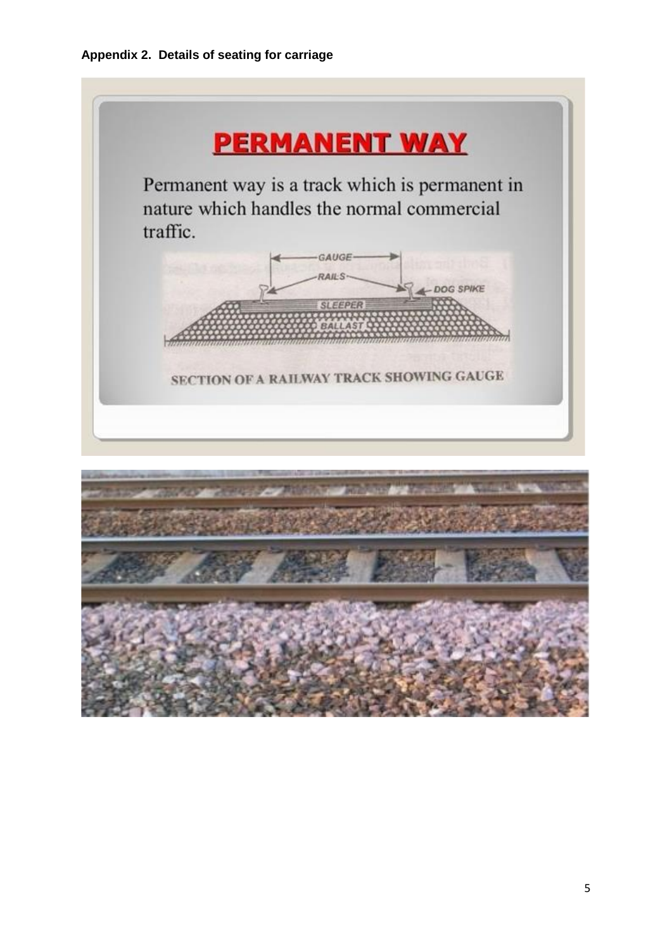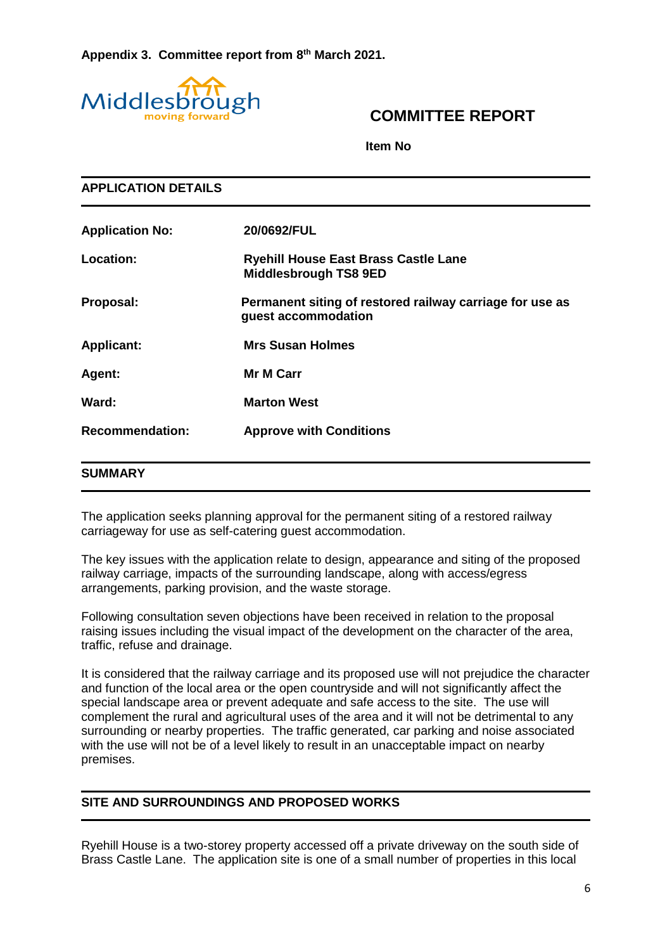**Appendix 3. Committee report from 8th March 2021.**



# **COMMITTEE REPORT**

**Item No** 

**APPLICATION DETAILS Application No: 20/0692/FUL Location: Ryehill House East Brass Castle Lane Middlesbrough TS8 9ED Proposal: Permanent siting of restored railway carriage for use as guest accommodation Applicant: Mrs Susan Holmes Agent: Mr M Carr Ward: Marton West Recommendation: Approve with Conditions**

### **SUMMARY**

The application seeks planning approval for the permanent siting of a restored railway carriageway for use as self-catering guest accommodation.

The key issues with the application relate to design, appearance and siting of the proposed railway carriage, impacts of the surrounding landscape, along with access/egress arrangements, parking provision, and the waste storage.

Following consultation seven objections have been received in relation to the proposal raising issues including the visual impact of the development on the character of the area, traffic, refuse and drainage.

It is considered that the railway carriage and its proposed use will not prejudice the character and function of the local area or the open countryside and will not significantly affect the special landscape area or prevent adequate and safe access to the site. The use will complement the rural and agricultural uses of the area and it will not be detrimental to any surrounding or nearby properties. The traffic generated, car parking and noise associated with the use will not be of a level likely to result in an unacceptable impact on nearby premises.

### **SITE AND SURROUNDINGS AND PROPOSED WORKS**

Ryehill House is a two-storey property accessed off a private driveway on the south side of Brass Castle Lane. The application site is one of a small number of properties in this local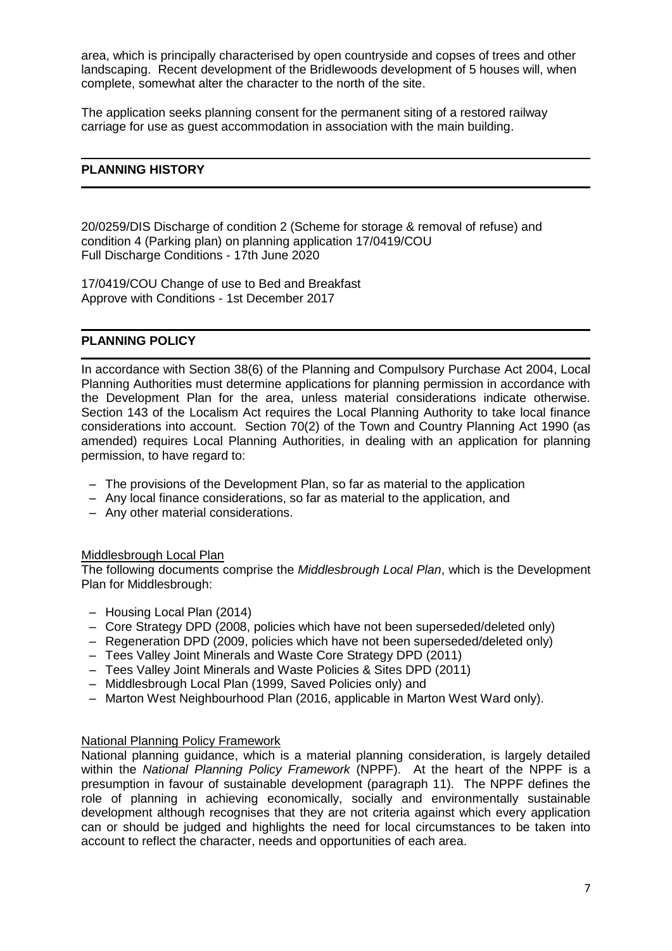area, which is principally characterised by open countryside and copses of trees and other landscaping. Recent development of the Bridlewoods development of 5 houses will, when complete, somewhat alter the character to the north of the site.

The application seeks planning consent for the permanent siting of a restored railway carriage for use as guest accommodation in association with the main building.

### **PLANNING HISTORY**

20/0259/DIS Discharge of condition 2 (Scheme for storage & removal of refuse) and condition 4 (Parking plan) on planning application 17/0419/COU Full Discharge Conditions - 17th June 2020

17/0419/COU Change of use to Bed and Breakfast Approve with Conditions - 1st December 2017

### **PLANNING POLICY**

In accordance with Section 38(6) of the Planning and Compulsory Purchase Act 2004, Local Planning Authorities must determine applications for planning permission in accordance with the Development Plan for the area, unless material considerations indicate otherwise. Section 143 of the Localism Act requires the Local Planning Authority to take local finance considerations into account. Section 70(2) of the Town and Country Planning Act 1990 (as amended) requires Local Planning Authorities, in dealing with an application for planning permission, to have regard to:

- The provisions of the Development Plan, so far as material to the application
- Any local finance considerations, so far as material to the application, and
- Any other material considerations.

### Middlesbrough Local Plan

The following documents comprise the *Middlesbrough Local Plan*, which is the Development Plan for Middlesbrough:

- Housing Local Plan (2014)
- Core Strategy DPD (2008, policies which have not been superseded/deleted only)
- Regeneration DPD (2009, policies which have not been superseded/deleted only)
- Tees Valley Joint Minerals and Waste Core Strategy DPD (2011)
- Tees Valley Joint Minerals and Waste Policies & Sites DPD (2011)
- Middlesbrough Local Plan (1999, Saved Policies only) and
- Marton West Neighbourhood Plan (2016, applicable in Marton West Ward only).

#### National Planning Policy Framework

National planning guidance, which is a material planning consideration, is largely detailed within the *National Planning Policy Framework* (NPPF). At the heart of the NPPF is a presumption in favour of sustainable development (paragraph 11). The NPPF defines the role of planning in achieving economically, socially and environmentally sustainable development although recognises that they are not criteria against which every application can or should be judged and highlights the need for local circumstances to be taken into account to reflect the character, needs and opportunities of each area.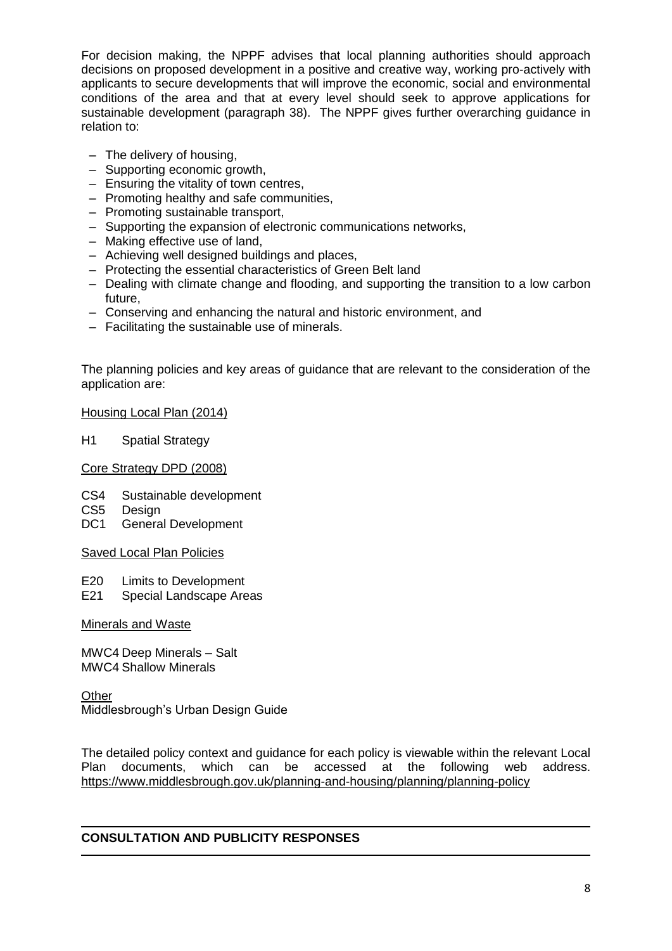For decision making, the NPPF advises that local planning authorities should approach decisions on proposed development in a positive and creative way, working pro-actively with applicants to secure developments that will improve the economic, social and environmental conditions of the area and that at every level should seek to approve applications for sustainable development (paragraph 38). The NPPF gives further overarching guidance in relation to:

- The delivery of housing,
- Supporting economic growth,
- Ensuring the vitality of town centres,
- Promoting healthy and safe communities,
- Promoting sustainable transport,
- Supporting the expansion of electronic communications networks,
- Making effective use of land,
- Achieving well designed buildings and places,
- Protecting the essential characteristics of Green Belt land
- Dealing with climate change and flooding, and supporting the transition to a low carbon future,
- Conserving and enhancing the natural and historic environment, and
- Facilitating the sustainable use of minerals.

The planning policies and key areas of guidance that are relevant to the consideration of the application are:

### Housing Local Plan (2014)

H1 Spatial Strategy

### Core Strategy DPD (2008)

- CS4 Sustainable development
- CS5 Design
- DC1 General Development

### Saved Local Plan Policies

- E20 Limits to Development
- E21 Special Landscape Areas

#### Minerals and Waste

MWC4 Deep Minerals – Salt MWC4 Shallow Minerals

**Other** Middlesbrough's Urban Design Guide

The detailed policy context and guidance for each policy is viewable within the relevant Local Plan documents, which can be accessed at the following web address. <https://www.middlesbrough.gov.uk/planning-and-housing/planning/planning-policy>

## **CONSULTATION AND PUBLICITY RESPONSES**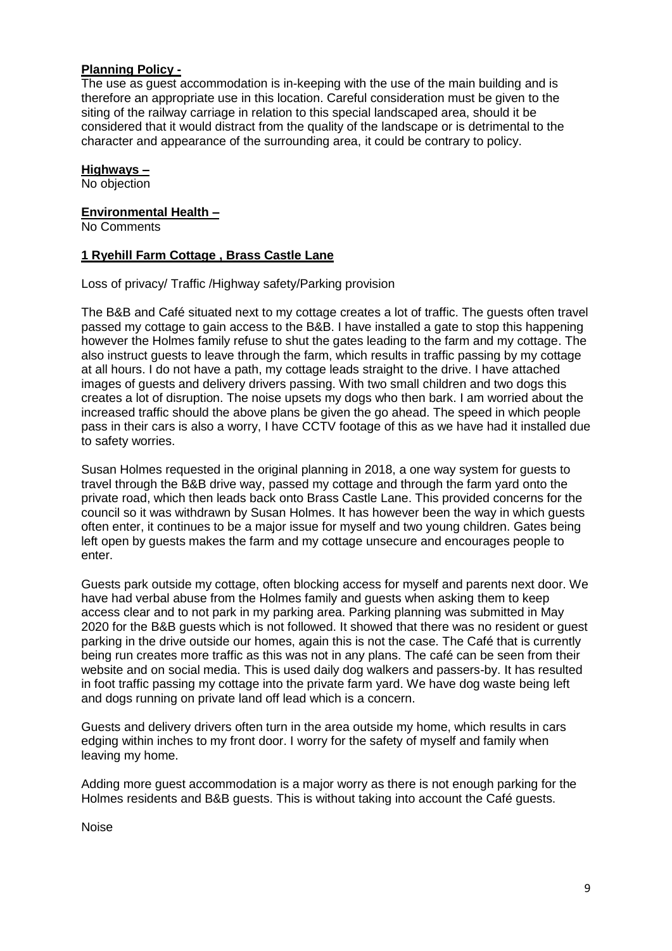### **Planning Policy -**

The use as guest accommodation is in-keeping with the use of the main building and is therefore an appropriate use in this location. Careful consideration must be given to the siting of the railway carriage in relation to this special landscaped area, should it be considered that it would distract from the quality of the landscape or is detrimental to the character and appearance of the surrounding area, it could be contrary to policy.

### **Highways –**

No objection

### **Environmental Health –**

No Comments

### **1 Ryehill Farm Cottage , Brass Castle Lane**

Loss of privacy/ Traffic /Highway safety/Parking provision

The B&B and Café situated next to my cottage creates a lot of traffic. The guests often travel passed my cottage to gain access to the B&B. I have installed a gate to stop this happening however the Holmes family refuse to shut the gates leading to the farm and my cottage. The also instruct guests to leave through the farm, which results in traffic passing by my cottage at all hours. I do not have a path, my cottage leads straight to the drive. I have attached images of guests and delivery drivers passing. With two small children and two dogs this creates a lot of disruption. The noise upsets my dogs who then bark. I am worried about the increased traffic should the above plans be given the go ahead. The speed in which people pass in their cars is also a worry, I have CCTV footage of this as we have had it installed due to safety worries.

Susan Holmes requested in the original planning in 2018, a one way system for guests to travel through the B&B drive way, passed my cottage and through the farm yard onto the private road, which then leads back onto Brass Castle Lane. This provided concerns for the council so it was withdrawn by Susan Holmes. It has however been the way in which guests often enter, it continues to be a major issue for myself and two young children. Gates being left open by guests makes the farm and my cottage unsecure and encourages people to enter.

Guests park outside my cottage, often blocking access for myself and parents next door. We have had verbal abuse from the Holmes family and guests when asking them to keep access clear and to not park in my parking area. Parking planning was submitted in May 2020 for the B&B guests which is not followed. It showed that there was no resident or guest parking in the drive outside our homes, again this is not the case. The Café that is currently being run creates more traffic as this was not in any plans. The café can be seen from their website and on social media. This is used daily dog walkers and passers-by. It has resulted in foot traffic passing my cottage into the private farm yard. We have dog waste being left and dogs running on private land off lead which is a concern.

Guests and delivery drivers often turn in the area outside my home, which results in cars edging within inches to my front door. I worry for the safety of myself and family when leaving my home.

Adding more guest accommodation is a major worry as there is not enough parking for the Holmes residents and B&B guests. This is without taking into account the Café guests.

Noise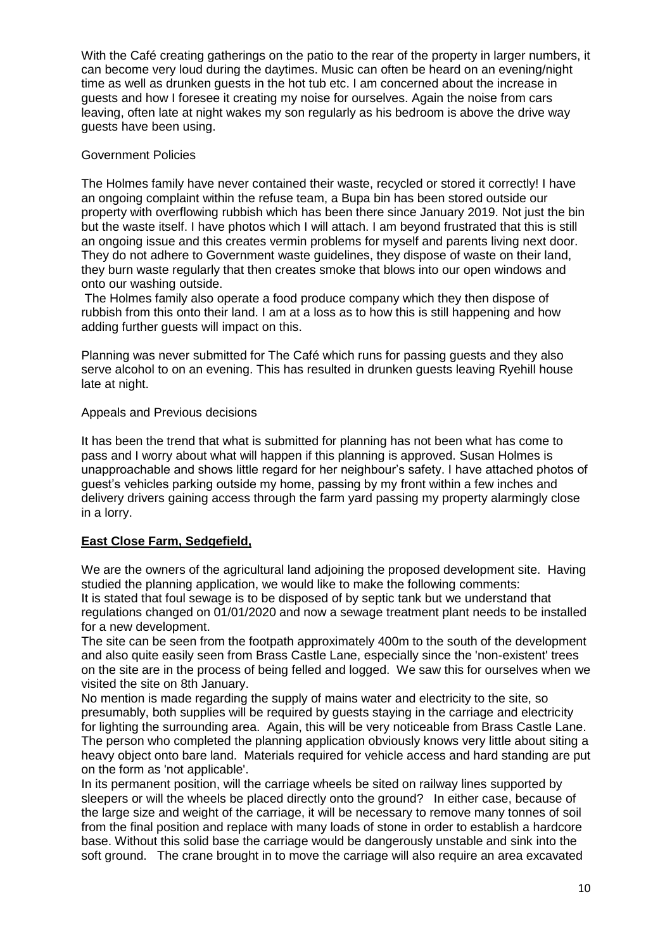With the Café creating gatherings on the patio to the rear of the property in larger numbers, it can become very loud during the daytimes. Music can often be heard on an evening/night time as well as drunken guests in the hot tub etc. I am concerned about the increase in guests and how I foresee it creating my noise for ourselves. Again the noise from cars leaving, often late at night wakes my son regularly as his bedroom is above the drive way guests have been using.

### Government Policies

The Holmes family have never contained their waste, recycled or stored it correctly! I have an ongoing complaint within the refuse team, a Bupa bin has been stored outside our property with overflowing rubbish which has been there since January 2019. Not just the bin but the waste itself. I have photos which I will attach. I am beyond frustrated that this is still an ongoing issue and this creates vermin problems for myself and parents living next door. They do not adhere to Government waste guidelines, they dispose of waste on their land, they burn waste regularly that then creates smoke that blows into our open windows and onto our washing outside.

The Holmes family also operate a food produce company which they then dispose of rubbish from this onto their land. I am at a loss as to how this is still happening and how adding further guests will impact on this.

Planning was never submitted for The Café which runs for passing guests and they also serve alcohol to on an evening. This has resulted in drunken guests leaving Ryehill house late at night.

# Appeals and Previous decisions

It has been the trend that what is submitted for planning has not been what has come to pass and I worry about what will happen if this planning is approved. Susan Holmes is unapproachable and shows little regard for her neighbour's safety. I have attached photos of guest's vehicles parking outside my home, passing by my front within a few inches and delivery drivers gaining access through the farm yard passing my property alarmingly close in a lorry.

# **East Close Farm, Sedgefield,**

We are the owners of the agricultural land adjoining the proposed development site. Having studied the planning application, we would like to make the following comments: It is stated that foul sewage is to be disposed of by septic tank but we understand that regulations changed on 01/01/2020 and now a sewage treatment plant needs to be installed for a new development.

The site can be seen from the footpath approximately 400m to the south of the development and also quite easily seen from Brass Castle Lane, especially since the 'non-existent' trees on the site are in the process of being felled and logged. We saw this for ourselves when we visited the site on 8th January.

No mention is made regarding the supply of mains water and electricity to the site, so presumably, both supplies will be required by guests staying in the carriage and electricity for lighting the surrounding area. Again, this will be very noticeable from Brass Castle Lane. The person who completed the planning application obviously knows very little about siting a heavy object onto bare land. Materials required for vehicle access and hard standing are put on the form as 'not applicable'.

In its permanent position, will the carriage wheels be sited on railway lines supported by sleepers or will the wheels be placed directly onto the ground? In either case, because of the large size and weight of the carriage, it will be necessary to remove many tonnes of soil from the final position and replace with many loads of stone in order to establish a hardcore base. Without this solid base the carriage would be dangerously unstable and sink into the soft ground. The crane brought in to move the carriage will also require an area excavated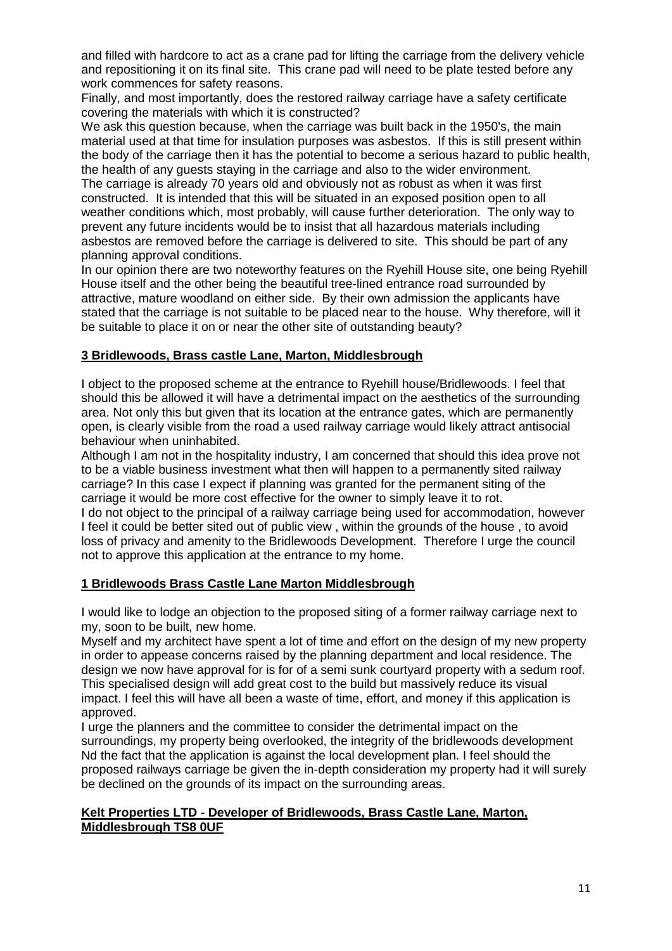and filled with hardcore to act as a crane pad for lifting the carriage from the delivery vehicle and repositioning it on its final site. This crane pad will need to be plate tested before any work commences for safety reasons.

Finally, and most importantly, does the restored railway carriage have a safety certificate covering the materials with which it is constructed?

We ask this question because, when the carriage was built back in the 1950's, the main material used at that time for insulation purposes was asbestos. If this is still present within the body of the carriage then it has the potential to become a serious hazard to public health, the health of any guests staying in the carriage and also to the wider environment.

The carriage is already 70 years old and obviously not as robust as when it was first constructed. It is intended that this will be situated in an exposed position open to all weather conditions which, most probably, will cause further deterioration. The only way to prevent any future incidents would be to insist that all hazardous materials including asbestos are removed before the carriage is delivered to site. This should be part of any planning approval conditions.

In our opinion there are two noteworthy features on the Ryehill House site, one being Ryehill House itself and the other being the beautiful tree-lined entrance road surrounded by attractive, mature woodland on either side. By their own admission the applicants have stated that the carriage is not suitable to be placed near to the house. Why therefore, will it be suitable to place it on or near the other site of outstanding beauty?

# **3 Bridlewoods, Brass castle Lane, Marton, Middlesbrough**

I object to the proposed scheme at the entrance to Ryehill house/Bridlewoods. I feel that should this be allowed it will have a detrimental impact on the aesthetics of the surrounding area. Not only this but given that its location at the entrance gates, which are permanently open, is clearly visible from the road a used railway carriage would likely attract antisocial behaviour when uninhabited.

Although I am not in the hospitality industry, I am concerned that should this idea prove not to be a viable business investment what then will happen to a permanently sited railway carriage? In this case I expect if planning was granted for the permanent siting of the carriage it would be more cost effective for the owner to simply leave it to rot.

I do not object to the principal of a railway carriage being used for accommodation, however I feel it could be better sited out of public view , within the grounds of the house , to avoid loss of privacy and amenity to the Bridlewoods Development. Therefore I urge the council not to approve this application at the entrance to my home.

#### **1 Bridlewoods Brass Castle Lane Marton Middlesbrough**

I would like to lodge an objection to the proposed siting of a former railway carriage next to my, soon to be built, new home.

Myself and my architect have spent a lot of time and effort on the design of my new property in order to appease concerns raised by the planning department and local residence. The design we now have approval for is for of a semi sunk courtyard property with a sedum roof. This specialised design will add great cost to the build but massively reduce its visual impact. I feel this will have all been a waste of time, effort, and money if this application is approved.

I urge the planners and the committee to consider the detrimental impact on the surroundings, my property being overlooked, the integrity of the bridlewoods development Nd the fact that the application is against the local development plan. I feel should the proposed railways carriage be given the in-depth consideration my property had it will surely be declined on the grounds of its impact on the surrounding areas.

### **Kelt Properties LTD - Developer of Bridlewoods, Brass Castle Lane, Marton, Middlesbrough TS8 0UF**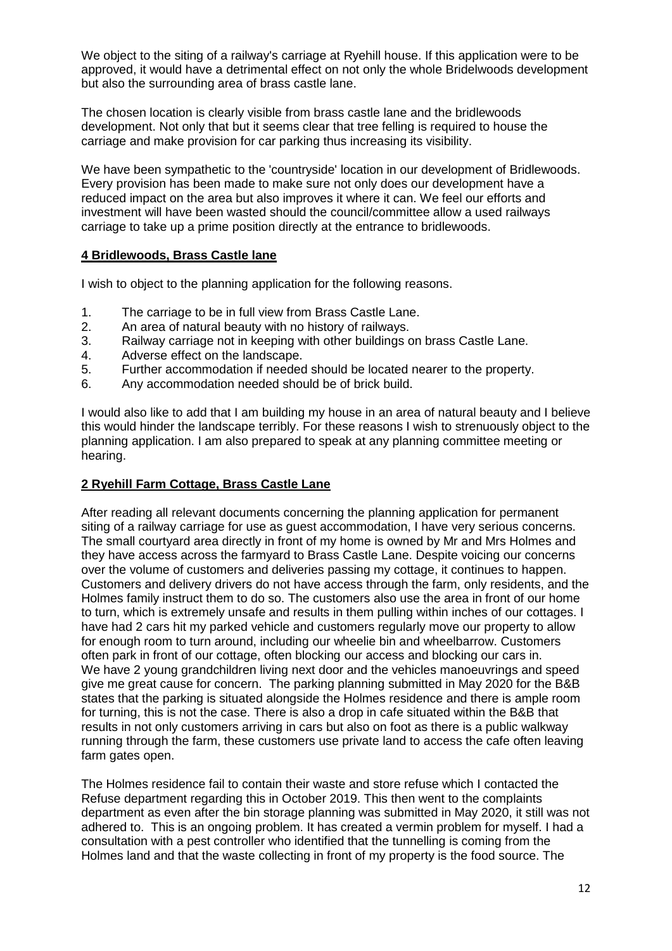We object to the siting of a railway's carriage at Ryehill house. If this application were to be approved, it would have a detrimental effect on not only the whole Bridelwoods development but also the surrounding area of brass castle lane.

The chosen location is clearly visible from brass castle lane and the bridlewoods development. Not only that but it seems clear that tree felling is required to house the carriage and make provision for car parking thus increasing its visibility.

We have been sympathetic to the 'countryside' location in our development of Bridlewoods. Every provision has been made to make sure not only does our development have a reduced impact on the area but also improves it where it can. We feel our efforts and investment will have been wasted should the council/committee allow a used railways carriage to take up a prime position directly at the entrance to bridlewoods.

### **4 Bridlewoods, Brass Castle lane**

I wish to object to the planning application for the following reasons.

- 1. The carriage to be in full view from Brass Castle Lane.
- 2. An area of natural beauty with no history of railways.
- 3. Railway carriage not in keeping with other buildings on brass Castle Lane.
- 4. Adverse effect on the landscape.
- 5. Further accommodation if needed should be located nearer to the property.
- 6. Any accommodation needed should be of brick build.

I would also like to add that I am building my house in an area of natural beauty and I believe this would hinder the landscape terribly. For these reasons I wish to strenuously object to the planning application. I am also prepared to speak at any planning committee meeting or hearing.

### **2 Ryehill Farm Cottage, Brass Castle Lane**

After reading all relevant documents concerning the planning application for permanent siting of a railway carriage for use as guest accommodation, I have very serious concerns. The small courtyard area directly in front of my home is owned by Mr and Mrs Holmes and they have access across the farmyard to Brass Castle Lane. Despite voicing our concerns over the volume of customers and deliveries passing my cottage, it continues to happen. Customers and delivery drivers do not have access through the farm, only residents, and the Holmes family instruct them to do so. The customers also use the area in front of our home to turn, which is extremely unsafe and results in them pulling within inches of our cottages. I have had 2 cars hit my parked vehicle and customers regularly move our property to allow for enough room to turn around, including our wheelie bin and wheelbarrow. Customers often park in front of our cottage, often blocking our access and blocking our cars in. We have 2 young grandchildren living next door and the vehicles manoeuvrings and speed give me great cause for concern. The parking planning submitted in May 2020 for the B&B states that the parking is situated alongside the Holmes residence and there is ample room for turning, this is not the case. There is also a drop in cafe situated within the B&B that results in not only customers arriving in cars but also on foot as there is a public walkway running through the farm, these customers use private land to access the cafe often leaving farm gates open.

The Holmes residence fail to contain their waste and store refuse which I contacted the Refuse department regarding this in October 2019. This then went to the complaints department as even after the bin storage planning was submitted in May 2020, it still was not adhered to. This is an ongoing problem. It has created a vermin problem for myself. I had a consultation with a pest controller who identified that the tunnelling is coming from the Holmes land and that the waste collecting in front of my property is the food source. The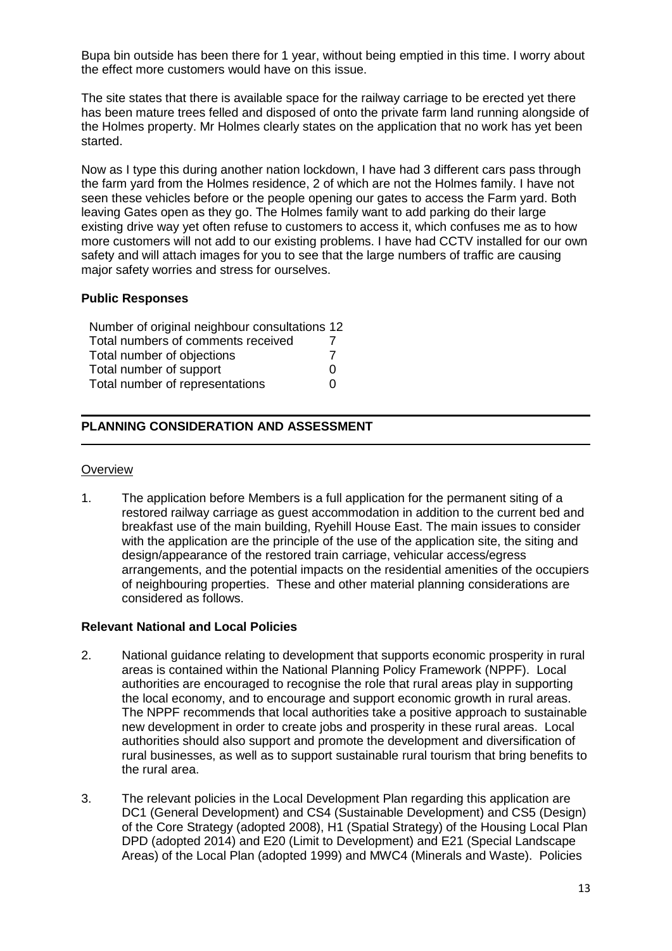Bupa bin outside has been there for 1 year, without being emptied in this time. I worry about the effect more customers would have on this issue.

The site states that there is available space for the railway carriage to be erected yet there has been mature trees felled and disposed of onto the private farm land running alongside of the Holmes property. Mr Holmes clearly states on the application that no work has yet been started.

Now as I type this during another nation lockdown, I have had 3 different cars pass through the farm yard from the Holmes residence, 2 of which are not the Holmes family. I have not seen these vehicles before or the people opening our gates to access the Farm yard. Both leaving Gates open as they go. The Holmes family want to add parking do their large existing drive way yet often refuse to customers to access it, which confuses me as to how more customers will not add to our existing problems. I have had CCTV installed for our own safety and will attach images for you to see that the large numbers of traffic are causing major safety worries and stress for ourselves.

### **Public Responses**

| Number of original neighbour consultations 12 |   |
|-----------------------------------------------|---|
| Total numbers of comments received            |   |
| Total number of objections                    |   |
| Total number of support                       | O |
| Total number of representations               | O |

### **PLANNING CONSIDERATION AND ASSESSMENT**

#### **Overview**

1. The application before Members is a full application for the permanent siting of a restored railway carriage as guest accommodation in addition to the current bed and breakfast use of the main building, Ryehill House East. The main issues to consider with the application are the principle of the use of the application site, the siting and design/appearance of the restored train carriage, vehicular access/egress arrangements, and the potential impacts on the residential amenities of the occupiers of neighbouring properties. These and other material planning considerations are considered as follows.

### **Relevant National and Local Policies**

- 2. National guidance relating to development that supports economic prosperity in rural areas is contained within the National Planning Policy Framework (NPPF). Local authorities are encouraged to recognise the role that rural areas play in supporting the local economy, and to encourage and support economic growth in rural areas. The NPPF recommends that local authorities take a positive approach to sustainable new development in order to create jobs and prosperity in these rural areas. Local authorities should also support and promote the development and diversification of rural businesses, as well as to support sustainable rural tourism that bring benefits to the rural area.
- 3. The relevant policies in the Local Development Plan regarding this application are DC1 (General Development) and CS4 (Sustainable Development) and CS5 (Design) of the Core Strategy (adopted 2008), H1 (Spatial Strategy) of the Housing Local Plan DPD (adopted 2014) and E20 (Limit to Development) and E21 (Special Landscape Areas) of the Local Plan (adopted 1999) and MWC4 (Minerals and Waste). Policies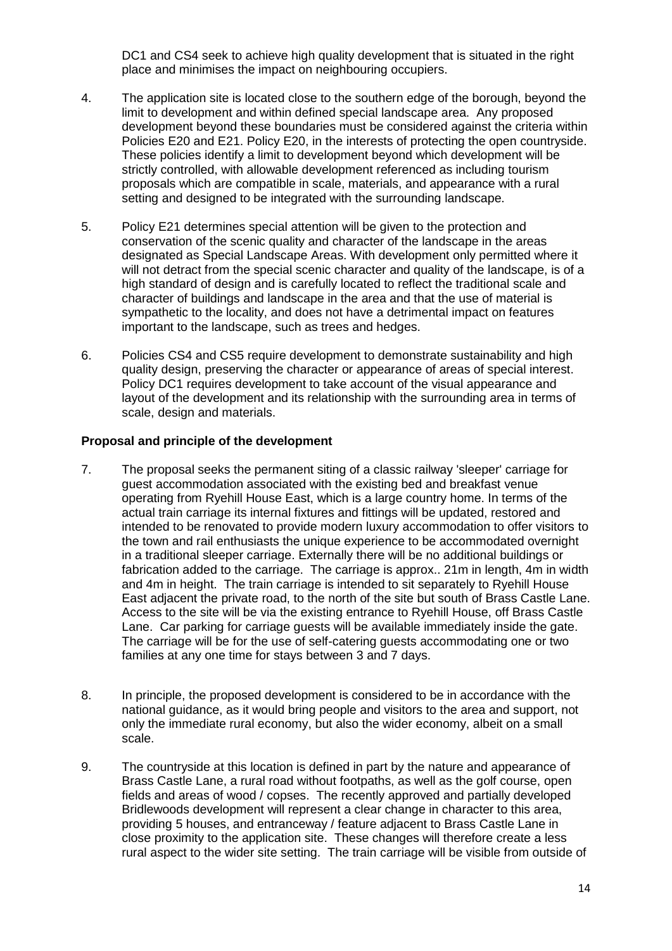DC1 and CS4 seek to achieve high quality development that is situated in the right place and minimises the impact on neighbouring occupiers.

- 4. The application site is located close to the southern edge of the borough, beyond the limit to development and within defined special landscape area. Any proposed development beyond these boundaries must be considered against the criteria within Policies E20 and E21. Policy E20, in the interests of protecting the open countryside. These policies identify a limit to development beyond which development will be strictly controlled, with allowable development referenced as including tourism proposals which are compatible in scale, materials, and appearance with a rural setting and designed to be integrated with the surrounding landscape.
- 5. Policy E21 determines special attention will be given to the protection and conservation of the scenic quality and character of the landscape in the areas designated as Special Landscape Areas. With development only permitted where it will not detract from the special scenic character and quality of the landscape, is of a high standard of design and is carefully located to reflect the traditional scale and character of buildings and landscape in the area and that the use of material is sympathetic to the locality, and does not have a detrimental impact on features important to the landscape, such as trees and hedges.
- 6. Policies CS4 and CS5 require development to demonstrate sustainability and high quality design, preserving the character or appearance of areas of special interest. Policy DC1 requires development to take account of the visual appearance and layout of the development and its relationship with the surrounding area in terms of scale, design and materials.

### **Proposal and principle of the development**

- 7. The proposal seeks the permanent siting of a classic railway 'sleeper' carriage for guest accommodation associated with the existing bed and breakfast venue operating from Ryehill House East, which is a large country home. In terms of the actual train carriage its internal fixtures and fittings will be updated, restored and intended to be renovated to provide modern luxury accommodation to offer visitors to the town and rail enthusiasts the unique experience to be accommodated overnight in a traditional sleeper carriage. Externally there will be no additional buildings or fabrication added to the carriage. The carriage is approx.. 21m in length, 4m in width and 4m in height. The train carriage is intended to sit separately to Ryehill House East adjacent the private road, to the north of the site but south of Brass Castle Lane. Access to the site will be via the existing entrance to Ryehill House, off Brass Castle Lane. Car parking for carriage guests will be available immediately inside the gate. The carriage will be for the use of self-catering guests accommodating one or two families at any one time for stays between 3 and 7 days.
- 8. In principle, the proposed development is considered to be in accordance with the national guidance, as it would bring people and visitors to the area and support, not only the immediate rural economy, but also the wider economy, albeit on a small scale.
- 9. The countryside at this location is defined in part by the nature and appearance of Brass Castle Lane, a rural road without footpaths, as well as the golf course, open fields and areas of wood / copses. The recently approved and partially developed Bridlewoods development will represent a clear change in character to this area, providing 5 houses, and entranceway / feature adjacent to Brass Castle Lane in close proximity to the application site. These changes will therefore create a less rural aspect to the wider site setting. The train carriage will be visible from outside of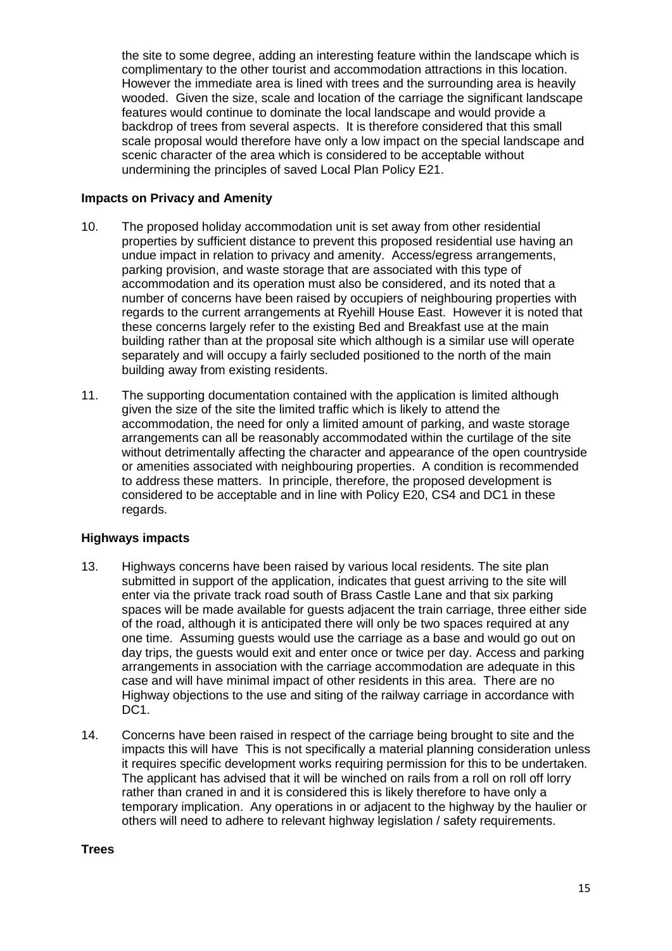the site to some degree, adding an interesting feature within the landscape which is complimentary to the other tourist and accommodation attractions in this location. However the immediate area is lined with trees and the surrounding area is heavily wooded. Given the size, scale and location of the carriage the significant landscape features would continue to dominate the local landscape and would provide a backdrop of trees from several aspects. It is therefore considered that this small scale proposal would therefore have only a low impact on the special landscape and scenic character of the area which is considered to be acceptable without undermining the principles of saved Local Plan Policy E21.

### **Impacts on Privacy and Amenity**

- 10. The proposed holiday accommodation unit is set away from other residential properties by sufficient distance to prevent this proposed residential use having an undue impact in relation to privacy and amenity. Access/egress arrangements, parking provision, and waste storage that are associated with this type of accommodation and its operation must also be considered, and its noted that a number of concerns have been raised by occupiers of neighbouring properties with regards to the current arrangements at Ryehill House East. However it is noted that these concerns largely refer to the existing Bed and Breakfast use at the main building rather than at the proposal site which although is a similar use will operate separately and will occupy a fairly secluded positioned to the north of the main building away from existing residents.
- 11. The supporting documentation contained with the application is limited although given the size of the site the limited traffic which is likely to attend the accommodation, the need for only a limited amount of parking, and waste storage arrangements can all be reasonably accommodated within the curtilage of the site without detrimentally affecting the character and appearance of the open countryside or amenities associated with neighbouring properties. A condition is recommended to address these matters. In principle, therefore, the proposed development is considered to be acceptable and in line with Policy E20, CS4 and DC1 in these regards.

# **Highways impacts**

- 13. Highways concerns have been raised by various local residents. The site plan submitted in support of the application, indicates that guest arriving to the site will enter via the private track road south of Brass Castle Lane and that six parking spaces will be made available for guests adjacent the train carriage, three either side of the road, although it is anticipated there will only be two spaces required at any one time. Assuming guests would use the carriage as a base and would go out on day trips, the guests would exit and enter once or twice per day. Access and parking arrangements in association with the carriage accommodation are adequate in this case and will have minimal impact of other residents in this area. There are no Highway objections to the use and siting of the railway carriage in accordance with DC1.
- 14. Concerns have been raised in respect of the carriage being brought to site and the impacts this will have This is not specifically a material planning consideration unless it requires specific development works requiring permission for this to be undertaken. The applicant has advised that it will be winched on rails from a roll on roll off lorry rather than craned in and it is considered this is likely therefore to have only a temporary implication. Any operations in or adjacent to the highway by the haulier or others will need to adhere to relevant highway legislation / safety requirements.

#### **Trees**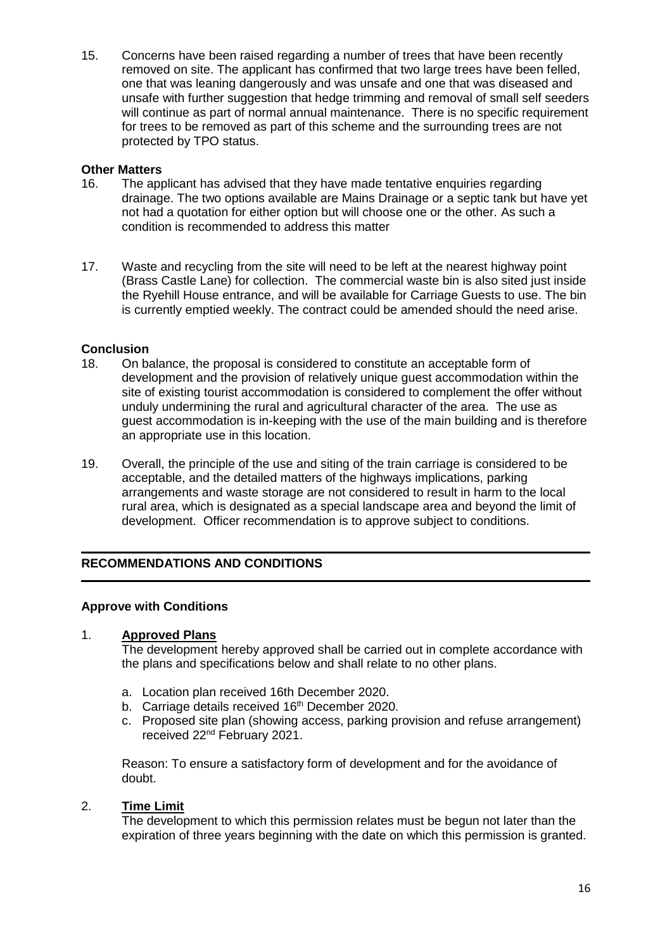15. Concerns have been raised regarding a number of trees that have been recently removed on site. The applicant has confirmed that two large trees have been felled, one that was leaning dangerously and was unsafe and one that was diseased and unsafe with further suggestion that hedge trimming and removal of small self seeders will continue as part of normal annual maintenance. There is no specific requirement for trees to be removed as part of this scheme and the surrounding trees are not protected by TPO status.

### **Other Matters**

- 16. The applicant has advised that they have made tentative enquiries regarding drainage. The two options available are Mains Drainage or a septic tank but have yet not had a quotation for either option but will choose one or the other. As such a condition is recommended to address this matter
- 17. Waste and recycling from the site will need to be left at the nearest highway point (Brass Castle Lane) for collection. The commercial waste bin is also sited just inside the Ryehill House entrance, and will be available for Carriage Guests to use. The bin is currently emptied weekly. The contract could be amended should the need arise.

# **Conclusion**

- 18. On balance, the proposal is considered to constitute an acceptable form of development and the provision of relatively unique guest accommodation within the site of existing tourist accommodation is considered to complement the offer without unduly undermining the rural and agricultural character of the area. The use as guest accommodation is in-keeping with the use of the main building and is therefore an appropriate use in this location.
- 19. Overall, the principle of the use and siting of the train carriage is considered to be acceptable, and the detailed matters of the highways implications, parking arrangements and waste storage are not considered to result in harm to the local rural area, which is designated as a special landscape area and beyond the limit of development. Officer recommendation is to approve subject to conditions.

# **RECOMMENDATIONS AND CONDITIONS**

### **Approve with Conditions**

### 1. **Approved Plans**

The development hereby approved shall be carried out in complete accordance with the plans and specifications below and shall relate to no other plans.

- a. Location plan received 16th December 2020.
- b. Carriage details received 16<sup>th</sup> December 2020.
- c. Proposed site plan (showing access, parking provision and refuse arrangement) received 22nd February 2021.

Reason: To ensure a satisfactory form of development and for the avoidance of doubt.

#### 2. **Time Limit**

The development to which this permission relates must be begun not later than the expiration of three years beginning with the date on which this permission is granted.